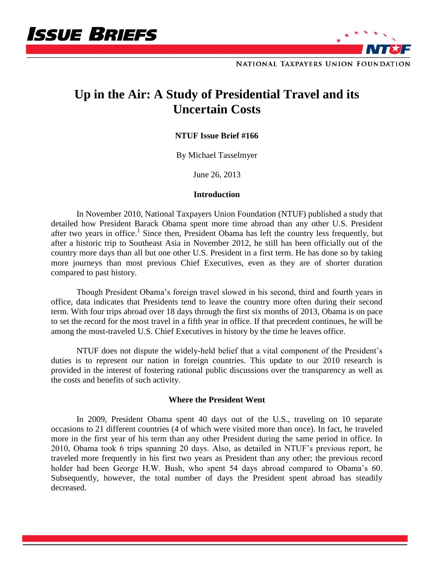



NATIONAL TAXPAYERS UNION FOUNDATION

# **Up in the Air: A Study of Presidential Travel and its Uncertain Costs**

# **NTUF Issue Brief #166**

By Michael Tasselmyer

June 26, 2013

### **Introduction**

In November 2010, National Taxpayers Union Foundation (NTUF) published a study that detailed how President Barack Obama spent more time abroad than any other U.S. President after two years in office.<sup>1</sup> Since then, President Obama has left the country less frequently, but after a historic trip to Southeast Asia in November 2012, he still has been officially out of the country more days than all but one other U.S. President in a first term. He has done so by taking more journeys than most previous Chief Executives, even as they are of shorter duration compared to past history.

Though President Obama's foreign travel slowed in his second, third and fourth years in office, data indicates that Presidents tend to leave the country more often during their second term. With four trips abroad over 18 days through the first six months of 2013, Obama is on pace to set the record for the most travel in a fifth year in office. If that precedent continues, he will be among the most-traveled U.S. Chief Executives in history by the time he leaves office.

NTUF does not dispute the widely-held belief that a vital component of the President's duties is to represent our nation in foreign countries. This update to our 2010 research is provided in the interest of fostering rational public discussions over the transparency as well as the costs and benefits of such activity.

### **Where the President Went**

In 2009, President Obama spent 40 days out of the U.S., traveling on 10 separate occasions to 21 different countries (4 of which were visited more than once). In fact, he traveled more in the first year of his term than any other President during the same period in office. In 2010, Obama took 6 trips spanning 20 days. Also, as detailed in NTUF's previous report, he traveled more frequently in his first two years as President than any other; the previous record holder had been George H.W. Bush, who spent 54 days abroad compared to Obama's 60. Subsequently, however, the total number of days the President spent abroad has steadily decreased.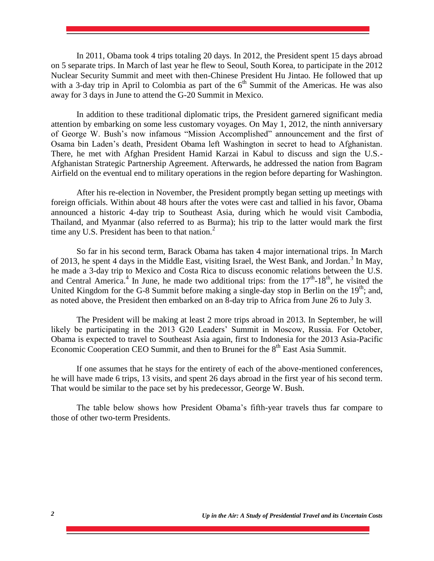In 2011, Obama took 4 trips totaling 20 days. In 2012, the President spent 15 days abroad on 5 separate trips. In March of last year he flew to Seoul, South Korea, to participate in the 2012 Nuclear Security Summit and meet with then-Chinese President Hu Jintao. He followed that up with a 3-day trip in April to Colombia as part of the  $6<sup>th</sup>$  Summit of the Americas. He was also away for 3 days in June to attend the G-20 Summit in Mexico.

In addition to these traditional diplomatic trips, the President garnered significant media attention by embarking on some less customary voyages. On May 1, 2012, the ninth anniversary of George W. Bush's now infamous "Mission Accomplished" announcement and the first of Osama bin Laden's death, President Obama left Washington in secret to head to Afghanistan. There, he met with Afghan President Hamid Karzai in Kabul to discuss and sign the U.S.- Afghanistan Strategic Partnership Agreement. Afterwards, he addressed the nation from Bagram Airfield on the eventual end to military operations in the region before departing for Washington.

After his re-election in November, the President promptly began setting up meetings with foreign officials. Within about 48 hours after the votes were cast and tallied in his favor, Obama announced a historic 4-day trip to Southeast Asia, during which he would visit Cambodia, Thailand, and Myanmar (also referred to as Burma); his trip to the latter would mark the first time any U.S. President has been to that nation. $<sup>2</sup>$ </sup>

So far in his second term, Barack Obama has taken 4 major international trips. In March of 2013, he spent 4 days in the Middle East, visiting Israel, the West Bank, and Jordan.<sup>3</sup> In May, he made a 3-day trip to Mexico and Costa Rica to discuss economic relations between the U.S. and Central America.<sup>4</sup> In June, he made two additional trips: from the  $17<sup>th</sup>$ -18<sup>th</sup>, he visited the United Kingdom for the G-8 Summit before making a single-day stop in Berlin on the  $19<sup>th</sup>$ ; and, as noted above, the President then embarked on an 8-day trip to Africa from June 26 to July 3.

The President will be making at least 2 more trips abroad in 2013. In September, he will likely be participating in the 2013 G20 Leaders' Summit in Moscow, Russia. For October, Obama is expected to travel to Southeast Asia again, first to Indonesia for the 2013 Asia-Pacific Economic Cooperation CEO Summit, and then to Brunei for the  $8<sup>th</sup>$  East Asia Summit.

If one assumes that he stays for the entirety of each of the above-mentioned conferences, he will have made 6 trips, 13 visits, and spent 26 days abroad in the first year of his second term. That would be similar to the pace set by his predecessor, George W. Bush.

The table below shows how President Obama's fifth-year travels thus far compare to those of other two-term Presidents.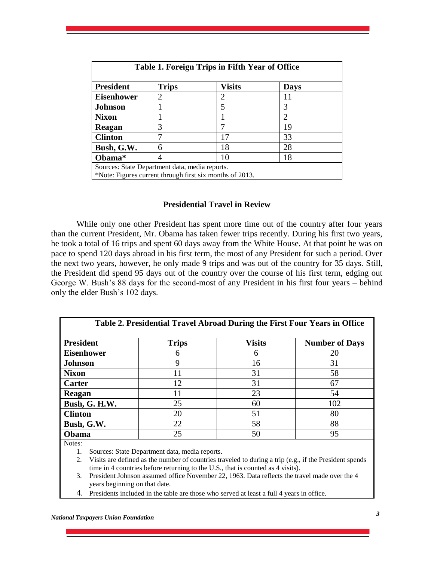| Table 1. Foreign Trips in Fifth Year of Office           |                             |               |             |  |  |
|----------------------------------------------------------|-----------------------------|---------------|-------------|--|--|
| <b>President</b>                                         | <b>Trips</b>                | <b>Visits</b> | <b>Days</b> |  |  |
| <b>Eisenhower</b>                                        | $\mathcal{D}_{\mathcal{L}}$ | 2             |             |  |  |
| <b>Johnson</b>                                           |                             |               |             |  |  |
| <b>Nixon</b>                                             |                             |               | 2           |  |  |
| Reagan                                                   | 3                           |               | 19          |  |  |
| <b>Clinton</b>                                           |                             | 17            | 33          |  |  |
| Bush, G.W.                                               | 6                           | 18            | 28          |  |  |
| Obama*                                                   | 4                           | 10            | 18          |  |  |
| Sources: State Department data, media reports.           |                             |               |             |  |  |
| *Note: Figures current through first six months of 2013. |                             |               |             |  |  |

## **Presidential Travel in Review**

While only one other President has spent more time out of the country after four years than the current President, Mr. Obama has taken fewer trips recently. During his first two years, he took a total of 16 trips and spent 60 days away from the White House. At that point he was on pace to spend 120 days abroad in his first term, the most of any President for such a period. Over the next two years, however, he only made 9 trips and was out of the country for 35 days. Still, the President did spend 95 days out of the country over the course of his first term, edging out George W. Bush's 88 days for the second-most of any President in his first four years – behind only the elder Bush's 102 days.

| Table 2. Presidential Travel Abroad During the First Four Years in Office |              |               |                       |  |  |
|---------------------------------------------------------------------------|--------------|---------------|-----------------------|--|--|
| <b>President</b>                                                          | <b>Trips</b> | <b>Visits</b> | <b>Number of Days</b> |  |  |
| <b>Eisenhower</b>                                                         | 6            | 6             | 20                    |  |  |
| <b>Johnson</b>                                                            | 9            | 16            | 31                    |  |  |
| <b>Nixon</b>                                                              | 11           | 31            | 58                    |  |  |
| Carter                                                                    | 12           | 31            | 67                    |  |  |
| Reagan                                                                    | 11           | 23            | 54                    |  |  |
| Bush, G. H.W.                                                             | 25           | 60            | 102                   |  |  |
| <b>Clinton</b>                                                            | 20           | 51            | 80                    |  |  |
| Bush, G.W.                                                                | 22           | 58            | 88                    |  |  |
| Obama<br>$N_{\text{max}}$                                                 | 25           | 50            | 95                    |  |  |

Notes:

1. Sources: State Department data, media reports.

2. Visits are defined as the number of countries traveled to during a trip (e.g., if the President spends time in 4 countries before returning to the U.S., that is counted as 4 visits).

- 3. President Johnson assumed office November 22, 1963. Data reflects the travel made over the 4 years beginning on that date.
- 4. Presidents included in the table are those who served at least a full 4 years in office.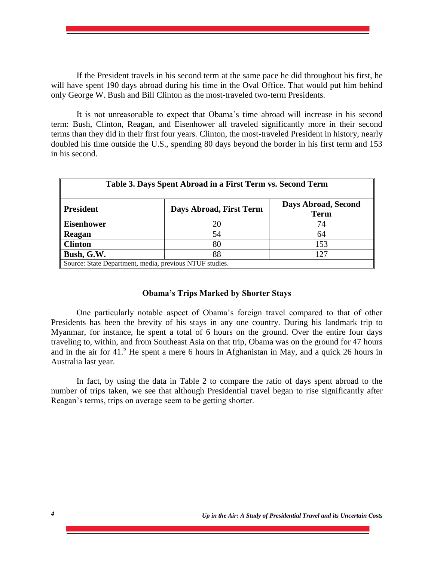If the President travels in his second term at the same pace he did throughout his first, he will have spent 190 days abroad during his time in the Oval Office. That would put him behind only George W. Bush and Bill Clinton as the most-traveled two-term Presidents.

It is not unreasonable to expect that Obama's time abroad will increase in his second term: Bush, Clinton, Reagan, and Eisenhower all traveled significantly more in their second terms than they did in their first four years. Clinton, the most-traveled President in history, nearly doubled his time outside the U.S., spending 80 days beyond the border in his first term and 153 in his second.

| Table 3. Days Spent Abroad in a First Term vs. Second Term |                         |                                    |  |  |  |
|------------------------------------------------------------|-------------------------|------------------------------------|--|--|--|
| <b>President</b>                                           | Days Abroad, First Term | Days Abroad, Second<br><b>Term</b> |  |  |  |
| <b>Eisenhower</b>                                          | 20                      | 74                                 |  |  |  |
| Reagan                                                     | 54                      | 64                                 |  |  |  |
| <b>Clinton</b>                                             | 80                      | 153                                |  |  |  |
| Bush, G.W.                                                 | 88                      | 127                                |  |  |  |
| Source: State Department, media, previous NTUF studies.    |                         |                                    |  |  |  |

### **Obama's Trips Marked by Shorter Stays**

One particularly notable aspect of Obama's foreign travel compared to that of other Presidents has been the brevity of his stays in any one country. During his landmark trip to Myanmar, for instance, he spent a total of 6 hours on the ground. Over the entire four days traveling to, within, and from Southeast Asia on that trip, Obama was on the ground for 47 hours and in the air for 41.<sup>5</sup> He spent a mere 6 hours in Afghanistan in May, and a quick 26 hours in Australia last year.

In fact, by using the data in Table 2 to compare the ratio of days spent abroad to the number of trips taken, we see that although Presidential travel began to rise significantly after Reagan's terms, trips on average seem to be getting shorter.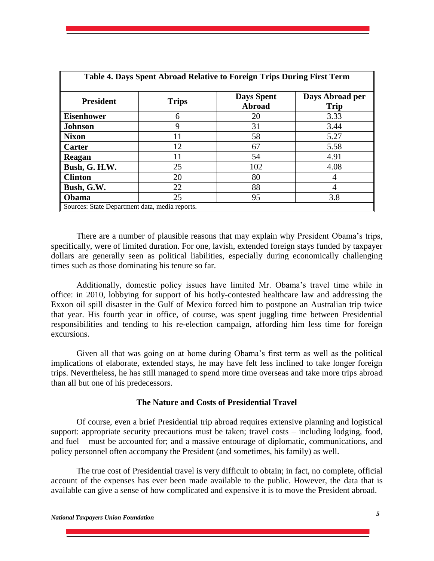| Table 4. Days Spent Abroad Relative to Foreign Trips During First Term |              |                                    |                                |  |  |
|------------------------------------------------------------------------|--------------|------------------------------------|--------------------------------|--|--|
| <b>President</b>                                                       | <b>Trips</b> | <b>Days Spent</b><br><b>Abroad</b> | Days Abroad per<br><b>Trip</b> |  |  |
| <b>Eisenhower</b>                                                      | 6            | 20                                 | 3.33                           |  |  |
| <b>Johnson</b>                                                         | 9            | 31                                 | 3.44                           |  |  |
| <b>Nixon</b>                                                           | 11           | 58                                 | 5.27                           |  |  |
| Carter                                                                 | 12           | 67                                 | 5.58                           |  |  |
| Reagan                                                                 | 11           | 54                                 | 4.91                           |  |  |
| Bush, G. H.W.                                                          | 25           | 102                                | 4.08                           |  |  |
| <b>Clinton</b>                                                         | 20           | 80                                 | 4                              |  |  |
| Bush, G.W.                                                             | 22           | 88                                 |                                |  |  |
| Obama                                                                  | 25           | 95                                 | 3.8                            |  |  |
| Sources: State Department data, media reports.                         |              |                                    |                                |  |  |

There are a number of plausible reasons that may explain why President Obama's trips, specifically, were of limited duration. For one, lavish, extended foreign stays funded by taxpayer dollars are generally seen as political liabilities, especially during economically challenging times such as those dominating his tenure so far.

Additionally, domestic policy issues have limited Mr. Obama's travel time while in office: in 2010, lobbying for support of his hotly-contested healthcare law and addressing the Exxon oil spill disaster in the Gulf of Mexico forced him to postpone an Australian trip twice that year. His fourth year in office, of course, was spent juggling time between Presidential responsibilities and tending to his re-election campaign, affording him less time for foreign excursions.

Given all that was going on at home during Obama's first term as well as the political implications of elaborate, extended stays, he may have felt less inclined to take longer foreign trips. Nevertheless, he has still managed to spend more time overseas and take more trips abroad than all but one of his predecessors.

#### **The Nature and Costs of Presidential Travel**

Of course, even a brief Presidential trip abroad requires extensive planning and logistical support: appropriate security precautions must be taken; travel costs – including lodging, food, and fuel – must be accounted for; and a massive entourage of diplomatic, communications, and policy personnel often accompany the President (and sometimes, his family) as well.

The true cost of Presidential travel is very difficult to obtain; in fact, no complete, official account of the expenses has ever been made available to the public. However, the data that is available can give a sense of how complicated and expensive it is to move the President abroad.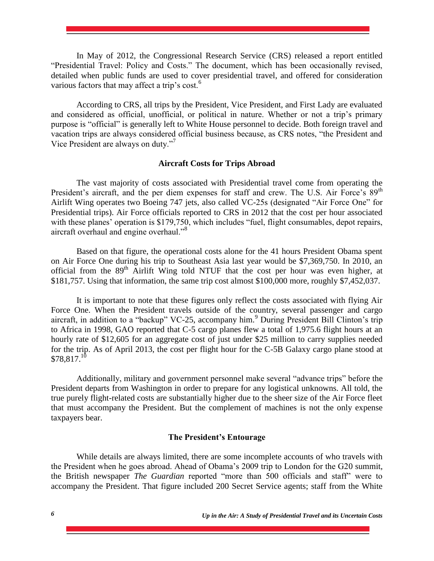In May of 2012, the Congressional Research Service (CRS) released a report entitled "Presidential Travel: Policy and Costs." The document, which has been occasionally revised, detailed when public funds are used to cover presidential travel, and offered for consideration various factors that may affect a trip's cost.<sup>6</sup>

According to CRS, all trips by the President, Vice President, and First Lady are evaluated and considered as official, unofficial, or political in nature. Whether or not a trip's primary purpose is "official" is generally left to White House personnel to decide. Both foreign travel and vacation trips are always considered official business because, as CRS notes, "the President and Vice President are always on duty."<sup>7</sup>

### **Aircraft Costs for Trips Abroad**

The vast majority of costs associated with Presidential travel come from operating the President's aircraft, and the per diem expenses for staff and crew. The U.S. Air Force's 89<sup>th</sup> Airlift Wing operates two Boeing 747 jets, also called VC-25s (designated "Air Force One" for Presidential trips). Air Force officials reported to CRS in 2012 that the cost per hour associated with these planes' operation is \$179,750, which includes "fuel, flight consumables, depot repairs, aircraft overhaul and engine overhaul."<sup>8</sup>

Based on that figure, the operational costs alone for the 41 hours President Obama spent on Air Force One during his trip to Southeast Asia last year would be \$7,369,750. In 2010, an official from the  $89<sup>th</sup>$  Airlift Wing told NTUF that the cost per hour was even higher, at \$181,757. Using that information, the same trip cost almost \$100,000 more, roughly \$7,452,037.

It is important to note that these figures only reflect the costs associated with flying Air Force One. When the President travels outside of the country, several passenger and cargo aircraft, in addition to a "backup" VC-25, accompany him.<sup>9</sup> During President Bill Clinton's trip to Africa in 1998, GAO reported that C-5 cargo planes flew a total of 1,975.6 flight hours at an hourly rate of \$12,605 for an aggregate cost of just under \$25 million to carry supplies needed for the trip. As of April 2013, the cost per flight hour for the C-5B Galaxy cargo plane stood at  $$78,817.<sup>10</sup>$ 

Additionally, military and government personnel make several "advance trips" before the President departs from Washington in order to prepare for any logistical unknowns. All told, the true purely flight-related costs are substantially higher due to the sheer size of the Air Force fleet that must accompany the President. But the complement of machines is not the only expense taxpayers bear.

#### **The President's Entourage**

While details are always limited, there are some incomplete accounts of who travels with the President when he goes abroad. Ahead of Obama's 2009 trip to London for the G20 summit, the British newspaper *The Guardian* reported "more than 500 officials and staff" were to accompany the President. That figure included 200 Secret Service agents; staff from the White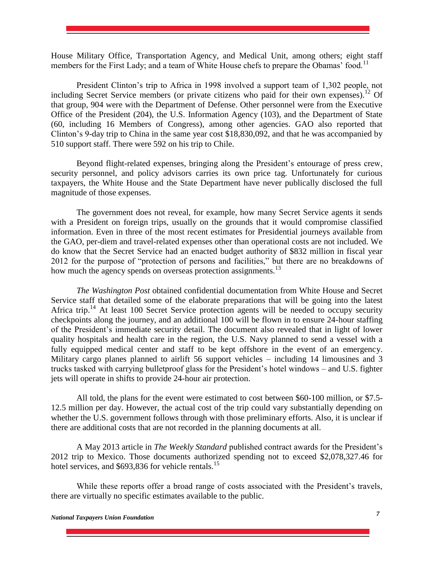House Military Office, Transportation Agency, and Medical Unit, among others; eight staff members for the First Lady; and a team of White House chefs to prepare the Obamas' food.<sup>11</sup>

President Clinton's trip to Africa in 1998 involved a support team of 1,302 people, not including Secret Service members (or private citizens who paid for their own expenses).<sup>12</sup> Of that group, 904 were with the Department of Defense. Other personnel were from the Executive Office of the President (204), the U.S. Information Agency (103), and the Department of State (60, including 16 Members of Congress), among other agencies. GAO also reported that Clinton's 9-day trip to China in the same year cost \$18,830,092, and that he was accompanied by 510 support staff. There were 592 on his trip to Chile.

Beyond flight-related expenses, bringing along the President's entourage of press crew, security personnel, and policy advisors carries its own price tag. Unfortunately for curious taxpayers, the White House and the State Department have never publically disclosed the full magnitude of those expenses.

The government does not reveal, for example, how many Secret Service agents it sends with a President on foreign trips, usually on the grounds that it would compromise classified information. Even in three of the most recent estimates for Presidential journeys available from the GAO, per-diem and travel-related expenses other than operational costs are not included. We do know that the Secret Service had an enacted budget authority of \$832 million in fiscal year 2012 for the purpose of "protection of persons and facilities," but there are no breakdowns of how much the agency spends on overseas protection assignments.<sup>13</sup>

*The Washington Post* obtained confidential documentation from White House and Secret Service staff that detailed some of the elaborate preparations that will be going into the latest Africa trip.<sup>14</sup> At least 100 Secret Service protection agents will be needed to occupy security checkpoints along the journey, and an additional 100 will be flown in to ensure 24-hour staffing of the President's immediate security detail. The document also revealed that in light of lower quality hospitals and health care in the region, the U.S. Navy planned to send a vessel with a fully equipped medical center and staff to be kept offshore in the event of an emergency. Military cargo planes planned to airlift 56 support vehicles – including 14 limousines and 3 trucks tasked with carrying bulletproof glass for the President's hotel windows – and U.S. fighter jets will operate in shifts to provide 24-hour air protection.

All told, the plans for the event were estimated to cost between \$60-100 million, or \$7.5- 12.5 million per day. However, the actual cost of the trip could vary substantially depending on whether the U.S. government follows through with those preliminary efforts. Also, it is unclear if there are additional costs that are not recorded in the planning documents at all.

A May 2013 article in *The Weekly Standard* published contract awards for the President's 2012 trip to Mexico. Those documents authorized spending not to exceed \$2,078,327.46 for hotel services, and  $$693,836$  for vehicle rentals.<sup>15</sup>

While these reports offer a broad range of costs associated with the President's travels, there are virtually no specific estimates available to the public.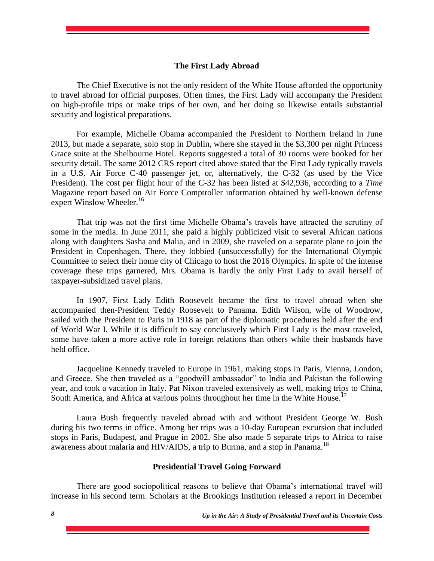## **The First Lady Abroad**

The Chief Executive is not the only resident of the White House afforded the opportunity to travel abroad for official purposes. Often times, the First Lady will accompany the President on high-profile trips or make trips of her own, and her doing so likewise entails substantial security and logistical preparations.

For example, Michelle Obama accompanied the President to Northern Ireland in June 2013, but made a separate, solo stop in Dublin, where she stayed in the \$3,300 per night Princess Grace suite at the Shelbourne Hotel. Reports suggested a total of 30 rooms were booked for her security detail. The same 2012 CRS report cited above stated that the First Lady typically travels in a U.S. Air Force C-40 passenger jet, or, alternatively, the C-32 (as used by the Vice President). The cost per flight hour of the C-32 has been listed at \$42,936, according to a *Time* Magazine report based on Air Force Comptroller information obtained by well-known defense expert Winslow Wheeler.<sup>16</sup>

That trip was not the first time Michelle Obama's travels have attracted the scrutiny of some in the media. In June 2011, she paid a highly publicized visit to several African nations along with daughters Sasha and Malia, and in 2009, she traveled on a separate plane to join the President in Copenhagen. There, they lobbied (unsuccessfully) for the International Olympic Committee to select their home city of Chicago to host the 2016 Olympics. In spite of the intense coverage these trips garnered, Mrs. Obama is hardly the only First Lady to avail herself of taxpayer-subsidized travel plans.

In 1907, First Lady Edith Roosevelt became the first to travel abroad when she accompanied then-President Teddy Roosevelt to Panama. Edith Wilson, wife of Woodrow, sailed with the President to Paris in 1918 as part of the diplomatic procedures held after the end of World War I. While it is difficult to say conclusively which First Lady is the most traveled, some have taken a more active role in foreign relations than others while their husbands have held office.

Jacqueline Kennedy traveled to Europe in 1961, making stops in Paris, Vienna, London, and Greece. She then traveled as a "goodwill ambassador" to India and Pakistan the following year, and took a vacation in Italy. Pat Nixon traveled extensively as well, making trips to China, South America, and Africa at various points throughout her time in the White House.<sup>17</sup>

Laura Bush frequently traveled abroad with and without President George W. Bush during his two terms in office. Among her trips was a 10-day European excursion that included stops in Paris, Budapest, and Prague in 2002. She also made 5 separate trips to Africa to raise awareness about malaria and HIV/AIDS, a trip to Burma, and a stop in Panama.<sup>18</sup>

#### **Presidential Travel Going Forward**

There are good sociopolitical reasons to believe that Obama's international travel will increase in his second term. Scholars at the Brookings Institution released a report in December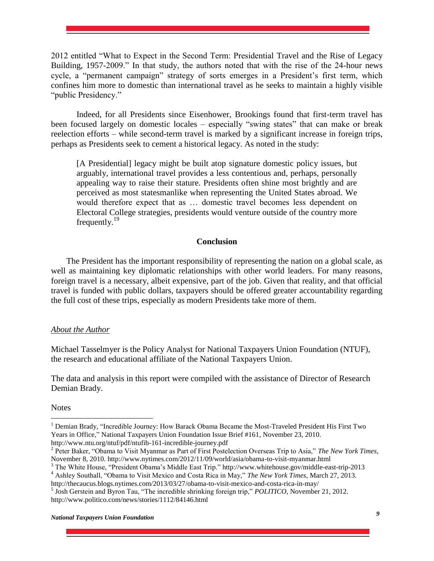2012 entitled "What to Expect in the Second Term: Presidential Travel and the Rise of Legacy Building, 1957-2009." In that study, the authors noted that with the rise of the 24-hour news cycle, a "permanent campaign" strategy of sorts emerges in a President's first term, which confines him more to domestic than international travel as he seeks to maintain a highly visible "public Presidency."

Indeed, for all Presidents since Eisenhower, Brookings found that first-term travel has been focused largely on domestic locales – especially "swing states" that can make or break reelection efforts – while second-term travel is marked by a significant increase in foreign trips, perhaps as Presidents seek to cement a historical legacy. As noted in the study:

[A Presidential] legacy might be built atop signature domestic policy issues, but arguably, international travel provides a less contentious and, perhaps, personally appealing way to raise their stature. Presidents often shine most brightly and are perceived as most statesmanlike when representing the United States abroad. We would therefore expect that as … domestic travel becomes less dependent on Electoral College strategies, presidents would venture outside of the country more frequently. $^{19}$ 

# **Conclusion**

The President has the important responsibility of representing the nation on a global scale, as well as maintaining key diplomatic relationships with other world leaders. For many reasons, foreign travel is a necessary, albeit expensive, part of the job. Given that reality, and that official travel is funded with public dollars, taxpayers should be offered greater accountability regarding the full cost of these trips, especially as modern Presidents take more of them.

# *About the Author*

Michael Tasselmyer is the Policy Analyst for National Taxpayers Union Foundation (NTUF), the research and educational affiliate of the National Taxpayers Union.

The data and analysis in this report were compiled with the assistance of Director of Research Demian Brady.

**Notes** 

 $\overline{a}$ 

<sup>&</sup>lt;sup>1</sup> Demian Brady, "Incredible Journey: How Barack Obama Became the Most-Traveled President His First Two Years in Office," National Taxpayers Union Foundation Issue Brief #161, November 23, 2010. http://www.ntu.org/ntuf/pdf/ntufib-161-incredible-journey.pdf

<sup>2</sup> Peter Baker, "Obama to Visit Myanmar as Part of First Postelection Overseas Trip to Asia," *The New York Times*, November 8, 2010. http://www.nytimes.com/2012/11/09/world/asia/obama-to-visit-myanmar.html

<sup>3</sup> The White House, "President Obama's Middle East Trip." http://www.whitehouse.gov/middle-east-trip-2013

<sup>4</sup> Ashley Southall, "Obama to Visit Mexico and Costa Rica in May," *The New York Times*, March 27, 2013.

http://thecaucus.blogs.nytimes.com/2013/03/27/obama-to-visit-mexico-and-costa-rica-in-may/ 5 Josh Gerstein and Byron Tau, "The incredible shrinking foreign trip," *POLITICO*, November 21, 2012. http://www.politico.com/news/stories/1112/84146.html